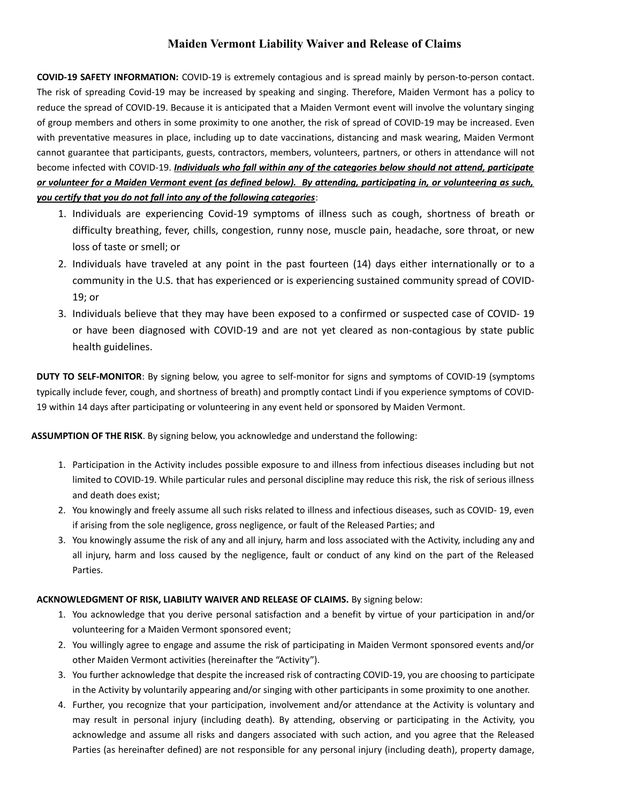## **Maiden Vermont Liability Waiver and Release of Claims**

**COVID-19 SAFETY INFORMATION:** COVID-19 is extremely contagious and is spread mainly by person-to-person contact. The risk of spreading Covid-19 may be increased by speaking and singing. Therefore, Maiden Vermont has a policy to reduce the spread of COVID-19. Because it is anticipated that a Maiden Vermont event will involve the voluntary singing of group members and others in some proximity to one another, the risk of spread of COVID-19 may be increased. Even with preventative measures in place, including up to date vaccinations, distancing and mask wearing, Maiden Vermont cannot guarantee that participants, guests, contractors, members, volunteers, partners, or others in attendance will not become infected with COVID-19. *Individuals who fall within any of the categories below should not attend, participate or volunteer for a Maiden Vermont event (as defined below). By attending, participating in, or volunteering as such, you certify that you do not fall into any of the following categories*:

- 1. Individuals are experiencing Covid-19 symptoms of illness such as cough, shortness of breath or difficulty breathing, fever, chills, congestion, runny nose, muscle pain, headache, sore throat, or new loss of taste or smell; or
- 2. Individuals have traveled at any point in the past fourteen (14) days either internationally or to a community in the U.S. that has experienced or is experiencing sustained community spread of COVID-19; or
- 3. Individuals believe that they may have been exposed to a confirmed or suspected case of COVID- 19 or have been diagnosed with COVID-19 and are not yet cleared as non-contagious by state public health guidelines.

**DUTY TO SELF-MONITOR**: By signing below, you agree to self-monitor for signs and symptoms of COVID-19 (symptoms typically include fever, cough, and shortness of breath) and promptly contact Lindi if you experience symptoms of COVID-19 within 14 days after participating or volunteering in any event held or sponsored by Maiden Vermont.

**ASSUMPTION OF THE RISK**. By signing below, you acknowledge and understand the following:

- 1. Participation in the Activity includes possible exposure to and illness from infectious diseases including but not limited to COVID-19. While particular rules and personal discipline may reduce this risk, the risk of serious illness and death does exist;
- 2. You knowingly and freely assume all such risks related to illness and infectious diseases, such as COVID- 19, even if arising from the sole negligence, gross negligence, or fault of the Released Parties; and
- 3. You knowingly assume the risk of any and all injury, harm and loss associated with the Activity, including any and all injury, harm and loss caused by the negligence, fault or conduct of any kind on the part of the Released Parties.

## **ACKNOWLEDGMENT OF RISK, LIABILITY WAIVER AND RELEASE OF CLAIMS.** By signing below:

- 1. You acknowledge that you derive personal satisfaction and a benefit by virtue of your participation in and/or volunteering for a Maiden Vermont sponsored event;
- 2. You willingly agree to engage and assume the risk of participating in Maiden Vermont sponsored events and/or other Maiden Vermont activities (hereinafter the "Activity").
- 3. You further acknowledge that despite the increased risk of contracting COVID-19, you are choosing to participate in the Activity by voluntarily appearing and/or singing with other participants in some proximity to one another.
- 4. Further, you recognize that your participation, involvement and/or attendance at the Activity is voluntary and may result in personal injury (including death). By attending, observing or participating in the Activity, you acknowledge and assume all risks and dangers associated with such action, and you agree that the Released Parties (as hereinafter defined) are not responsible for any personal injury (including death), property damage,